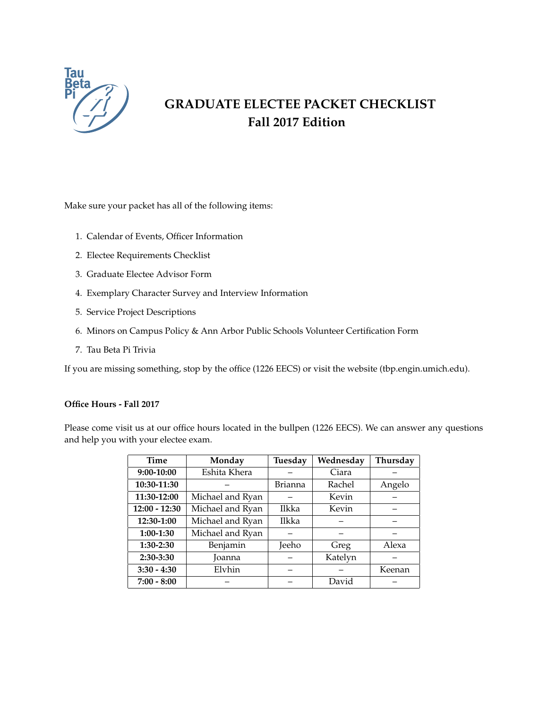

# **GRADUATE ELECTEE PACKET CHECKLIST Fall 2017 Edition**

Make sure your packet has all of the following items:

- 1. Calendar of Events, Officer Information
- 2. Electee Requirements Checklist
- 3. Graduate Electee Advisor Form
- 4. Exemplary Character Survey and Interview Information
- 5. Service Project Descriptions
- 6. Minors on Campus Policy & Ann Arbor Public Schools Volunteer Certification Form
- 7. Tau Beta Pi Trivia

If you are missing something, stop by the office (1226 EECS) or visit the website (tbp.engin.umich.edu).

### **Office Hours - Fall 2017**

Please come visit us at our office hours located in the bullpen (1226 EECS). We can answer any questions and help you with your electee exam.

| <b>Time</b>     | Monday           | Tuesday        | Wednesday | Thursday |
|-----------------|------------------|----------------|-----------|----------|
| 9:00-10:00      | Eshita Khera     |                | Ciara     |          |
| 10:30-11:30     |                  | <b>Brianna</b> | Rachel    | Angelo   |
| 11:30-12:00     | Michael and Ryan |                | Kevin     |          |
| $12:00 - 12:30$ | Michael and Ryan | Ilkka          | Kevin     |          |
| 12:30-1:00      | Michael and Ryan | <b>Ilkka</b>   |           |          |
| $1:00-1:30$     | Michael and Ryan |                |           |          |
| $1:30-2:30$     | Benjamin         | Jeeho          | Greg      | Alexa    |
| $2:30-3:30$     | <b>Joanna</b>    |                | Katelyn   |          |
| $3:30 - 4:30$   | Elvhin           |                |           | Keenan   |
| $7:00 - 8:00$   |                  |                | David     |          |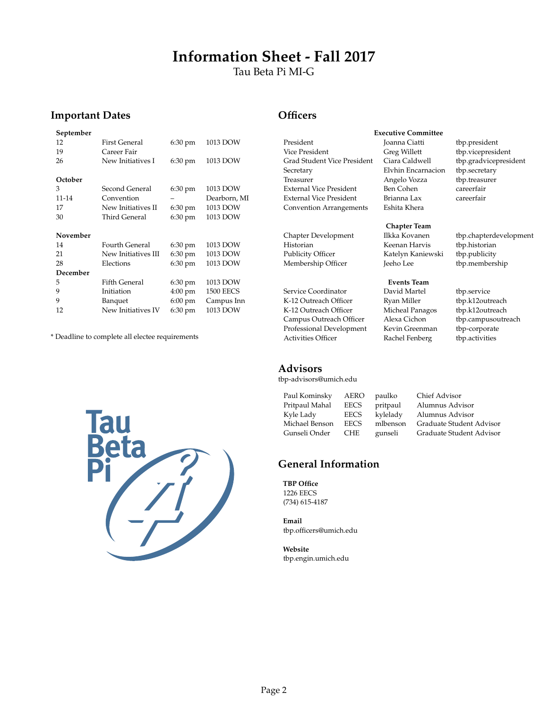# **Information Sheet - Fall 2017**

Tau Beta Pi MI-G

# **Important Dates**

| September |                       |                   |                  |
|-----------|-----------------------|-------------------|------------------|
| 12        | <b>First General</b>  | 6:30 pm           | 1013 DOW         |
| 19        | Career Fair           |                   |                  |
| 26        | New Initiatives I     | 6:30 pm           | 1013 DOW         |
|           |                       |                   |                  |
| October   |                       |                   |                  |
| 3         | Second General        | 6:30 pm           | 1013 DOW         |
| 11-14     | Convention            |                   | Dearborn, MI     |
| 17        | New Initiatives II    | 6:30 pm           | 1013 DOW         |
| 30        | Third General         | $6:30 \text{ pm}$ | 1013 DOW         |
|           |                       |                   |                  |
| November  |                       |                   |                  |
| 14        | <b>Fourth General</b> | $6:30 \text{ pm}$ | 1013 DOW         |
| 21        | New Initiatives III   | $6:30 \text{ pm}$ | 1013 DOW         |
| 28        | Elections             | $6:30 \text{ pm}$ | 1013 DOW         |
| December  |                       |                   |                  |
| 5         | <b>Fifth General</b>  | 6:30 pm           | 1013 DOW         |
| 9         | Initiation            | $4:00 \text{ pm}$ | <b>1500 EECS</b> |
| 9         | Banquet               | $6:00 \text{ pm}$ | Campus Inn       |
| 12        |                       |                   |                  |

\* Deadline to complete all electee requirements



### **Officers**

| President                      |
|--------------------------------|
| Vice President                 |
| Grad Student Vice President    |
| Secretary                      |
| Treasurer                      |
| External Vice President        |
| <b>External Vice President</b> |
| <b>Convention Arrangements</b> |
|                                |

Historian Keenan Harvis tbp.historian Membership Officer Jeeho Lee tbp.membership

Service Coordinator **David Martel** tbp.service K-12 Outreach Officer Ryan Miller tbp.k12outreach K-12 Outreach Officer Micheal Panagos tbp.k12outreach<br>
Campus Outreach Officer Alexa Cichon tbp.campusoutreach Campus Outreach Officer Alexa Cichon thp.campusou<br>Professional Development Kevin Greenman tbp-corporate Professional Development Kevin Greenman Activities Officer Rachel Fenberg tbp.activities

#### **Advisors**

tbp-advisors@umich.edu

Paul Kominsky AERO paulko Chief Advisor Pritpaul Mahal EECS pritpaul Alumnus Advisor Kyle Lady EECS kylelady Alumnus Advisor<br>Michael Benson EECS mlbenson Graduate Student

# Michael Benson EECS mlbenson Graduate Student Advisor gunseli Graduate Student Advisor

# **General Information**

**TBP Office** 1226 EECS (734) 615-4187

**Email** tbp.officers@umich.edu

**Website** tbp.engin.umich.edu

### **Executive Committee**

Joanna Ciatti tbp.president Greg Willett tbp.vicepresident Elvhin Encarnacion tbp.secretary Angelo Vozza tbp.treasurer Ben Cohen careerfair Brianna Lax careerfair Eshita Khera

# **Chapter Team**

Katelyn Kaniewski tbp.publicity

**Events Team**

Ciara Caldwell tbp.gradvicepresident

Chapter Development Ilkka Kovanen tbp.chapterdevelopment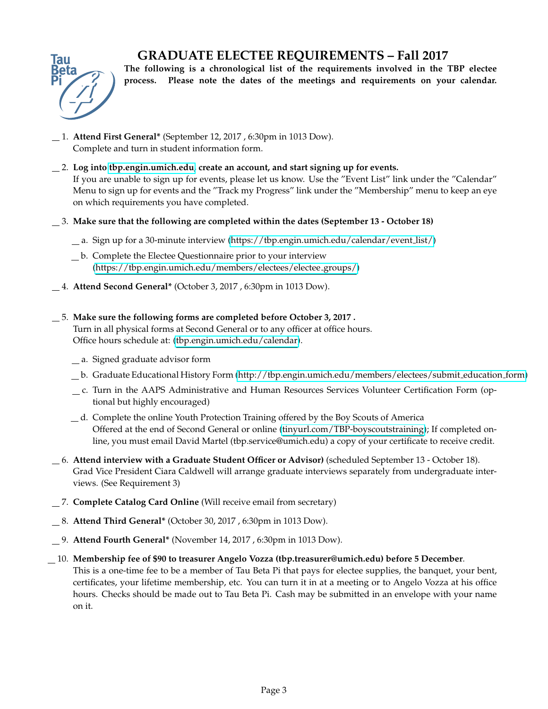# **GRADUATE ELECTEE REQUIREMENTS – Fall 2017**



**The following is a chronological list of the requirements involved in the TBP electee process. Please note the dates of the meetings and requirements on your calendar.**

- 1. **Attend First General\*** (September 12, 2017 , 6:30pm in 1013 Dow). Complete and turn in student information form.
- 2. **Log into [tbp.engin.umich.edu,](http://tbp.engin.umich.edu) create an account, and start signing up for events.** If you are unable to sign up for events, please let us know. Use the "Event List" link under the "Calendar" Menu to sign up for events and the "Track my Progress" link under the "Membership" menu to keep an eye on which requirements you have completed.
- 3. **Make sure that the following are completed within the dates (September 13 October 18)**
	- a. Sign up for a 30-minute interview [\(https://tbp.engin.umich.edu/calendar/event](https://tbp.engin.umich.edu/calendar/event_list/) list/)
	- b. Complete the Electee Questionnaire prior to your interview [\(https://tbp.engin.umich.edu/members/electees/electee](https://tbp.engin.umich.edu/members/electees/electee_groups/) groups/)
- 4. **Attend Second General\*** (October 3, 2017 , 6:30pm in 1013 Dow).

### 5. **Make sure the following forms are completed before October 3, 2017 .**

Turn in all physical forms at Second General or to any officer at office hours. Office hours schedule at: [\(tbp.engin.umich.edu/calendar\)](http://tbp.engin.umich.edu/calendar/).

- a. Signed graduate advisor form
- b. Graduate Educational History Form [\(http://tbp.engin.umich.edu/members/electees/submit](http://tbp.engin.umich.edu/members/electees/submit_education_form) education form)
- c. Turn in the AAPS Administrative and Human Resources Services Volunteer Certification Form (optional but highly encouraged)
- d. Complete the online Youth Protection Training offered by the Boy Scouts of America Offered at the end of Second General or online [\(tinyurl.com/TBP-boyscoutstraining\)](http://tinyurl.com/TBP-boyscoutstraining); If completed online, you must email David Martel (tbp.service@umich.edu) a copy of your certificate to receive credit.
- 6. **Attend interview with a Graduate Student Officer or Advisor)** (scheduled September 13 October 18). Grad Vice President Ciara Caldwell will arrange graduate interviews separately from undergraduate interviews. (See Requirement 3)
- 7. **Complete Catalog Card Online** (Will receive email from secretary)
- 8. **Attend Third General\*** (October 30, 2017 , 6:30pm in 1013 Dow).
- 9. **Attend Fourth General\*** (November 14, 2017 , 6:30pm in 1013 Dow).
- 10. **Membership fee of \$90 to treasurer Angelo Vozza (tbp.treasurer@umich.edu) before 5 December**. This is a one-time fee to be a member of Tau Beta Pi that pays for electee supplies, the banquet, your bent, certificates, your lifetime membership, etc. You can turn it in at a meeting or to Angelo Vozza at his office hours. Checks should be made out to Tau Beta Pi. Cash may be submitted in an envelope with your name on it.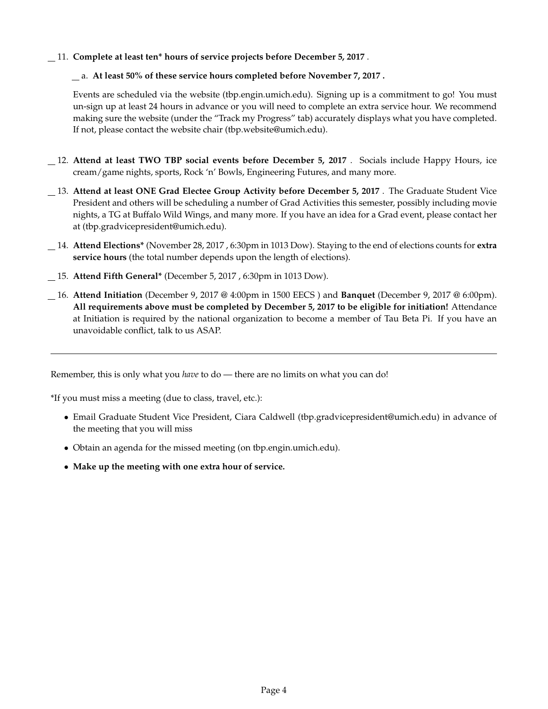11. **Complete at least ten\* hours of service projects before December 5, 2017** .

### a. **At least 50% of these service hours completed before November 7, 2017 .**

Events are scheduled via the website (tbp.engin.umich.edu). Signing up is a commitment to go! You must un-sign up at least 24 hours in advance or you will need to complete an extra service hour. We recommend making sure the website (under the "Track my Progress" tab) accurately displays what you have completed. If not, please contact the website chair (tbp.website@umich.edu).

- 12. **Attend at least TWO TBP social events before December 5, 2017** . Socials include Happy Hours, ice cream/game nights, sports, Rock 'n' Bowls, Engineering Futures, and many more.
- 13. **Attend at least ONE Grad Electee Group Activity before December 5, 2017** . The Graduate Student Vice President and others will be scheduling a number of Grad Activities this semester, possibly including movie nights, a TG at Buffalo Wild Wings, and many more. If you have an idea for a Grad event, please contact her at (tbp.gradvicepresident@umich.edu).
- 14. **Attend Elections\*** (November 28, 2017 , 6:30pm in 1013 Dow). Staying to the end of elections counts for **extra service hours** (the total number depends upon the length of elections).
- 15. **Attend Fifth General\*** (December 5, 2017 , 6:30pm in 1013 Dow).
- 16. **Attend Initiation** (December 9, 2017 @ 4:00pm in 1500 EECS ) and **Banquet** (December 9, 2017 @ 6:00pm). **All requirements above must be completed by December 5, 2017 to be eligible for initiation!** Attendance at Initiation is required by the national organization to become a member of Tau Beta Pi. If you have an unavoidable conflict, talk to us ASAP.

Remember, this is only what you *have* to do — there are no limits on what you can do!

\*If you must miss a meeting (due to class, travel, etc.):

- Email Graduate Student Vice President, Ciara Caldwell (tbp.gradvicepresident@umich.edu) in advance of the meeting that you will miss
- Obtain an agenda for the missed meeting (on tbp.engin.umich.edu).
- **Make up the meeting with one extra hour of service.**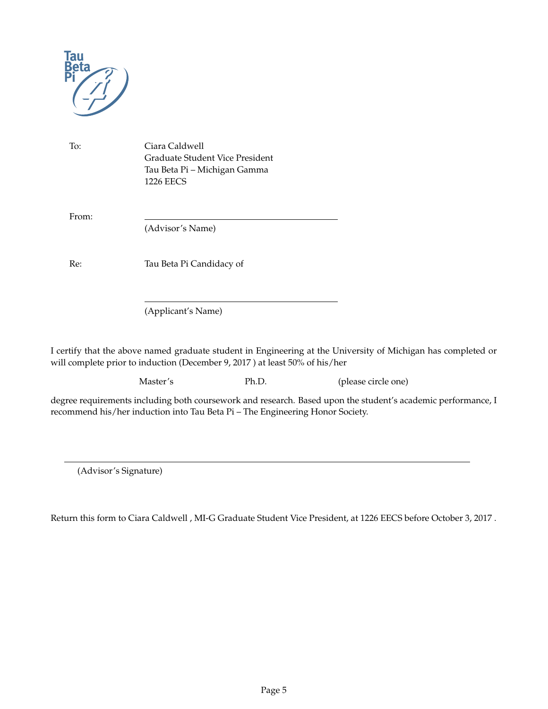

To: Ciara Caldwell Graduate Student Vice President Tau Beta Pi – Michigan Gamma 1226 EECS

From:

(Advisor's Name)

Re: Tau Beta Pi Candidacy of

(Applicant's Name)

I certify that the above named graduate student in Engineering at the University of Michigan has completed or will complete prior to induction (December 9, 2017 ) at least 50% of his/her

Master's Ph.D. (please circle one)

degree requirements including both coursework and research. Based upon the student's academic performance, I recommend his/her induction into Tau Beta Pi – The Engineering Honor Society.

(Advisor's Signature)

Return this form to Ciara Caldwell , MI-G Graduate Student Vice President, at 1226 EECS before October 3, 2017 .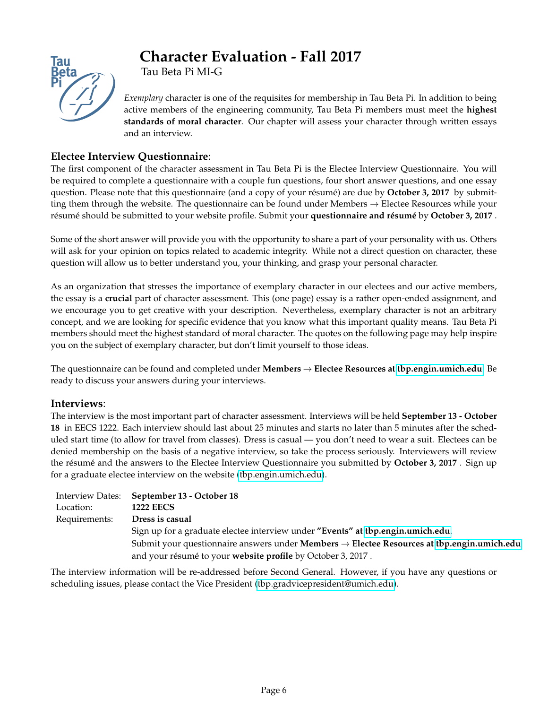

# **Character Evaluation - Fall 2017**

Tau Beta Pi MI-G

*Exemplary* character is one of the requisites for membership in Tau Beta Pi. In addition to being active members of the engineering community, Tau Beta Pi members must meet the **highest standards of moral character**. Our chapter will assess your character through written essays and an interview.

# **Electee Interview Questionnaire**:

The first component of the character assessment in Tau Beta Pi is the Electee Interview Questionnaire. You will be required to complete a questionnaire with a couple fun questions, four short answer questions, and one essay question. Please note that this questionnaire (and a copy of your résumé) are due by October 3, 2017 by submitting them through the website. The questionnaire can be found under Members  $\rightarrow$  Electee Resources while your résumé should be submitted to your website profile. Submit your questionnaire and résumé by October 3, 2017 .

Some of the short answer will provide you with the opportunity to share a part of your personality with us. Others will ask for your opinion on topics related to academic integrity. While not a direct question on character, these question will allow us to better understand you, your thinking, and grasp your personal character.

As an organization that stresses the importance of exemplary character in our electees and our active members, the essay is a **crucial** part of character assessment. This (one page) essay is a rather open-ended assignment, and we encourage you to get creative with your description. Nevertheless, exemplary character is not an arbitrary concept, and we are looking for specific evidence that you know what this important quality means. Tau Beta Pi members should meet the highest standard of moral character. The quotes on the following page may help inspire you on the subject of exemplary character, but don't limit yourself to those ideas.

The questionnaire can be found and completed under **Members** → **Electee Resources at [tbp.engin.umich.edu](https://tbp.engin.umich.edu/members/electees/electee_groups/)**. Be ready to discuss your answers during your interviews.

### **Interviews**:

The interview is the most important part of character assessment. Interviews will be held **September 13 - October 18** in EECS 1222. Each interview should last about 25 minutes and starts no later than 5 minutes after the scheduled start time (to allow for travel from classes). Dress is casual — you don't need to wear a suit. Electees can be denied membership on the basis of a negative interview, so take the process seriously. Interviewers will review the résumé and the answers to the Electee Interview Questionnaire you submitted by October 3, 2017 . Sign up for a graduate electee interview on the website [\(tbp.engin.umich.edu\)](https://tbp.engin.umich.edu/calendar/event_list/).

|               | Interview Dates: September 13 - October 18                                                                           |  |  |
|---------------|----------------------------------------------------------------------------------------------------------------------|--|--|
| Location:     | <b>1222 EECS</b>                                                                                                     |  |  |
| Requirements: | Dress is casual                                                                                                      |  |  |
|               | Sign up for a graduate electee interview under "Events" at tbp.engin.umich.edu.                                      |  |  |
|               | Submit your questionnaire answers under <b>Members</b> $\rightarrow$ <b>Electee Resources at tbp.engin.umich.edu</b> |  |  |
|               | and your résumé to your website profile by October 3, 2017.                                                          |  |  |

The interview information will be re-addressed before Second General. However, if you have any questions or scheduling issues, please contact the Vice President [\(tbp.gradvicepresident@umich.edu\)](mailto:tbp.vicepresident@umich.edu).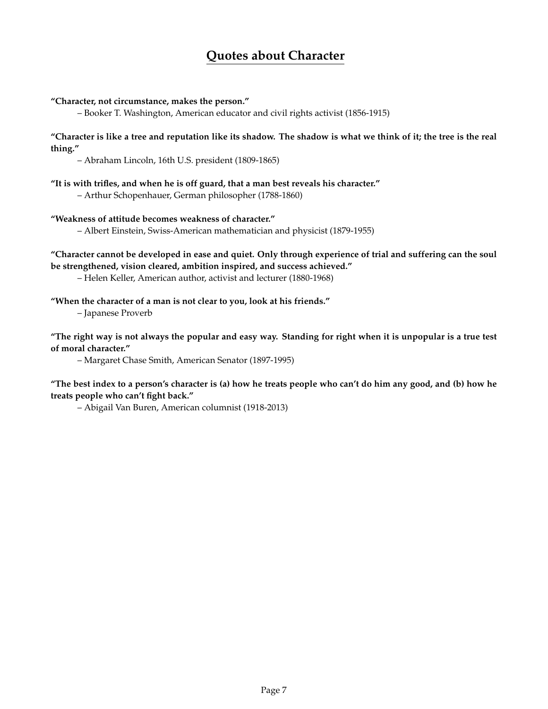# **Quotes about Character**

### **"Character, not circumstance, makes the person."**

– Booker T. Washington, American educator and civil rights activist (1856-1915)

#### **"Character is like a tree and reputation like its shadow. The shadow is what we think of it; the tree is the real thing."**

– Abraham Lincoln, 16th U.S. president (1809-1865)

#### **"It is with trifles, and when he is off guard, that a man best reveals his character."**

– Arthur Schopenhauer, German philosopher (1788-1860)

#### **"Weakness of attitude becomes weakness of character."**

– Albert Einstein, Swiss-American mathematician and physicist (1879-1955)

**"Character cannot be developed in ease and quiet. Only through experience of trial and suffering can the soul be strengthened, vision cleared, ambition inspired, and success achieved."**

– Helen Keller, American author, activist and lecturer (1880-1968)

### **"When the character of a man is not clear to you, look at his friends."**

– Japanese Proverb

**"The right way is not always the popular and easy way. Standing for right when it is unpopular is a true test of moral character."**

– Margaret Chase Smith, American Senator (1897-1995)

**"The best index to a person's character is (a) how he treats people who can't do him any good, and (b) how he treats people who can't fight back."**

– Abigail Van Buren, American columnist (1918-2013)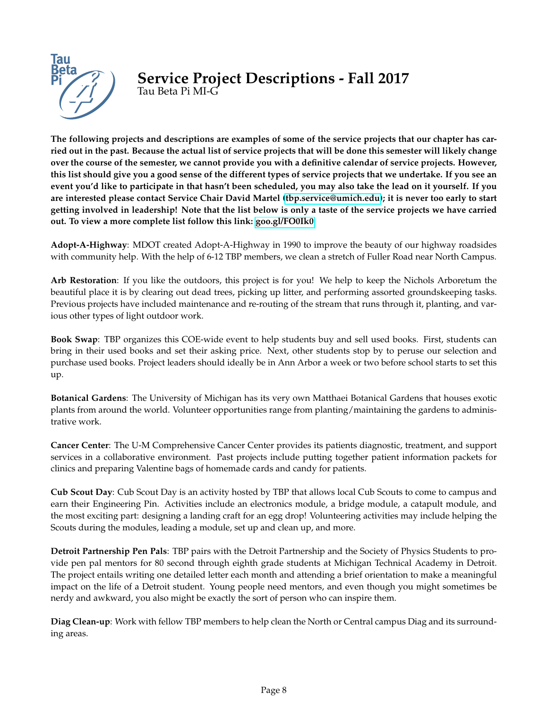

# **Service Project Descriptions - Fall 2017** Tau Beta Pi MI-G

**The following projects and descriptions are examples of some of the service projects that our chapter has carried out in the past. Because the actual list of service projects that will be done this semester will likely change over the course of the semester, we cannot provide you with a definitive calendar of service projects. However, this list should give you a good sense of the different types of service projects that we undertake. If you see an event you'd like to participate in that hasn't been scheduled, you may also take the lead on it yourself. If you are interested please contact Service Chair David Martel [\(tbp.service@umich.edu\)](mailto:tbp.service@umich.edu); it is never too early to start getting involved in leadership! Note that the list below is only a taste of the service projects we have carried out. To view a more complete list follow this link: [goo.gl/FO0Ik0](http://goo.gl/FO0Ik0)**.

**Adopt-A-Highway**: MDOT created Adopt-A-Highway in 1990 to improve the beauty of our highway roadsides with community help. With the help of 6-12 TBP members, we clean a stretch of Fuller Road near North Campus.

**Arb Restoration**: If you like the outdoors, this project is for you! We help to keep the Nichols Arboretum the beautiful place it is by clearing out dead trees, picking up litter, and performing assorted groundskeeping tasks. Previous projects have included maintenance and re-routing of the stream that runs through it, planting, and various other types of light outdoor work.

**Book Swap**: TBP organizes this COE-wide event to help students buy and sell used books. First, students can bring in their used books and set their asking price. Next, other students stop by to peruse our selection and purchase used books. Project leaders should ideally be in Ann Arbor a week or two before school starts to set this up.

**Botanical Gardens**: The University of Michigan has its very own Matthaei Botanical Gardens that houses exotic plants from around the world. Volunteer opportunities range from planting/maintaining the gardens to administrative work.

**Cancer Center**: The U-M Comprehensive Cancer Center provides its patients diagnostic, treatment, and support services in a collaborative environment. Past projects include putting together patient information packets for clinics and preparing Valentine bags of homemade cards and candy for patients.

**Cub Scout Day**: Cub Scout Day is an activity hosted by TBP that allows local Cub Scouts to come to campus and earn their Engineering Pin. Activities include an electronics module, a bridge module, a catapult module, and the most exciting part: designing a landing craft for an egg drop! Volunteering activities may include helping the Scouts during the modules, leading a module, set up and clean up, and more.

**Detroit Partnership Pen Pals**: TBP pairs with the Detroit Partnership and the Society of Physics Students to provide pen pal mentors for 80 second through eighth grade students at Michigan Technical Academy in Detroit. The project entails writing one detailed letter each month and attending a brief orientation to make a meaningful impact on the life of a Detroit student. Young people need mentors, and even though you might sometimes be nerdy and awkward, you also might be exactly the sort of person who can inspire them.

**Diag Clean-up**: Work with fellow TBP members to help clean the North or Central campus Diag and its surrounding areas.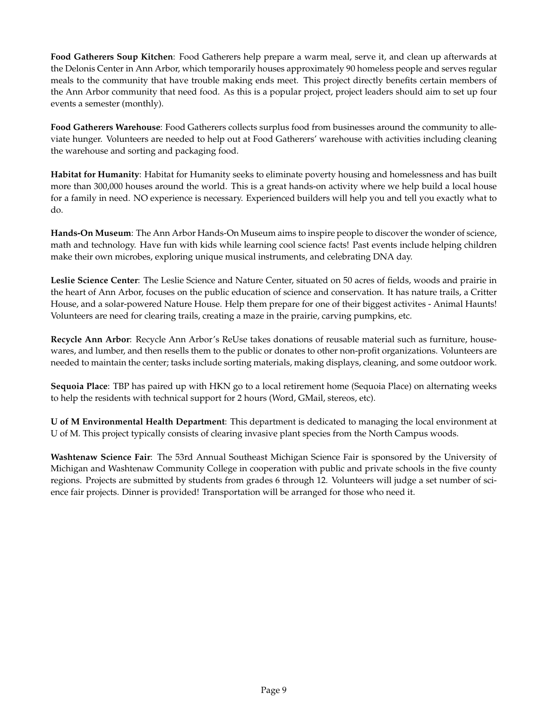**Food Gatherers Soup Kitchen**: Food Gatherers help prepare a warm meal, serve it, and clean up afterwards at the Delonis Center in Ann Arbor, which temporarily houses approximately 90 homeless people and serves regular meals to the community that have trouble making ends meet. This project directly benefits certain members of the Ann Arbor community that need food. As this is a popular project, project leaders should aim to set up four events a semester (monthly).

**Food Gatherers Warehouse**: Food Gatherers collects surplus food from businesses around the community to alleviate hunger. Volunteers are needed to help out at Food Gatherers' warehouse with activities including cleaning the warehouse and sorting and packaging food.

**Habitat for Humanity**: Habitat for Humanity seeks to eliminate poverty housing and homelessness and has built more than 300,000 houses around the world. This is a great hands-on activity where we help build a local house for a family in need. NO experience is necessary. Experienced builders will help you and tell you exactly what to do.

**Hands-On Museum**: The Ann Arbor Hands-On Museum aims to inspire people to discover the wonder of science, math and technology. Have fun with kids while learning cool science facts! Past events include helping children make their own microbes, exploring unique musical instruments, and celebrating DNA day.

**Leslie Science Center**: The Leslie Science and Nature Center, situated on 50 acres of fields, woods and prairie in the heart of Ann Arbor, focuses on the public education of science and conservation. It has nature trails, a Critter House, and a solar-powered Nature House. Help them prepare for one of their biggest activites - Animal Haunts! Volunteers are need for clearing trails, creating a maze in the prairie, carving pumpkins, etc.

**Recycle Ann Arbor**: Recycle Ann Arbor's ReUse takes donations of reusable material such as furniture, housewares, and lumber, and then resells them to the public or donates to other non-profit organizations. Volunteers are needed to maintain the center; tasks include sorting materials, making displays, cleaning, and some outdoor work.

**Sequoia Place**: TBP has paired up with HKN go to a local retirement home (Sequoia Place) on alternating weeks to help the residents with technical support for 2 hours (Word, GMail, stereos, etc).

**U of M Environmental Health Department**: This department is dedicated to managing the local environment at U of M. This project typically consists of clearing invasive plant species from the North Campus woods.

**Washtenaw Science Fair**: The 53rd Annual Southeast Michigan Science Fair is sponsored by the University of Michigan and Washtenaw Community College in cooperation with public and private schools in the five county regions. Projects are submitted by students from grades 6 through 12. Volunteers will judge a set number of science fair projects. Dinner is provided! Transportation will be arranged for those who need it.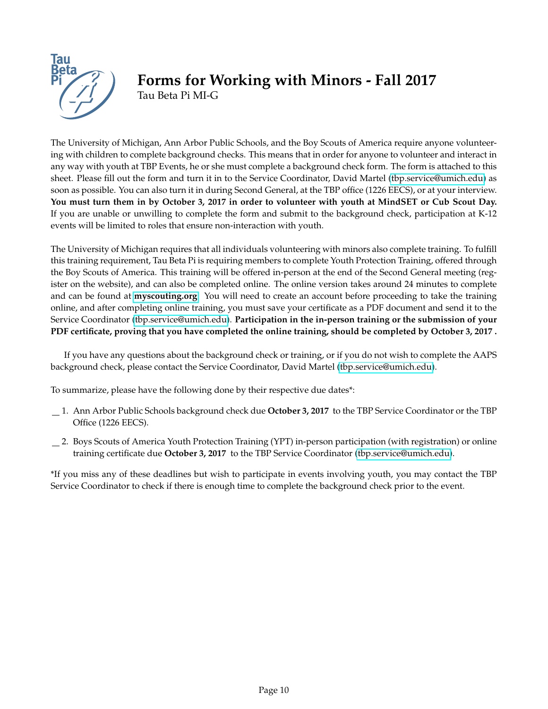

# **Forms for Working with Minors - Fall 2017** Tau Beta Pi MI-G

The University of Michigan, Ann Arbor Public Schools, and the Boy Scouts of America require anyone volunteering with children to complete background checks. This means that in order for anyone to volunteer and interact in any way with youth at TBP Events, he or she must complete a background check form. The form is attached to this sheet. Please fill out the form and turn it in to the Service Coordinator, David Martel [\(tbp.service@umich.edu\)](mailto:tbp.service@umich.edu) as soon as possible. You can also turn it in during Second General, at the TBP office (1226 EECS), or at your interview. **You must turn them in by October 3, 2017 in order to volunteer with youth at MindSET or Cub Scout Day.** If you are unable or unwilling to complete the form and submit to the background check, participation at K-12 events will be limited to roles that ensure non-interaction with youth.

The University of Michigan requires that all individuals volunteering with minors also complete training. To fulfill this training requirement, Tau Beta Pi is requiring members to complete Youth Protection Training, offered through the Boy Scouts of America. This training will be offered in-person at the end of the Second General meeting (register on the website), and can also be completed online. The online version takes around 24 minutes to complete and can be found at **[myscouting.org](http://myscouting.org)**. You will need to create an account before proceeding to take the training online, and after completing online training, you must save your certificate as a PDF document and send it to the Service Coordinator [\(tbp.service@umich.edu\)](mailto:tbp.service@umich.edu). **Participation in the in-person training or the submission of your PDF certificate, proving that you have completed the online training, should be completed by October 3, 2017 .**

If you have any questions about the background check or training, or if you do not wish to complete the AAPS background check, please contact the Service Coordinator, David Martel [\(tbp.service@umich.edu\)](mailto:tbp.service@umich.edu).

To summarize, please have the following done by their respective due dates\*:

- 1. Ann Arbor Public Schools background check due **October 3, 2017** to the TBP Service Coordinator or the TBP Office (1226 EECS).
- 2. Boys Scouts of America Youth Protection Training (YPT) in-person participation (with registration) or online training certificate due **October 3, 2017** to the TBP Service Coordinator [\(tbp.service@umich.edu\)](mailto:tbp.service@umich.edu).

\*If you miss any of these deadlines but wish to participate in events involving youth, you may contact the TBP Service Coordinator to check if there is enough time to complete the background check prior to the event.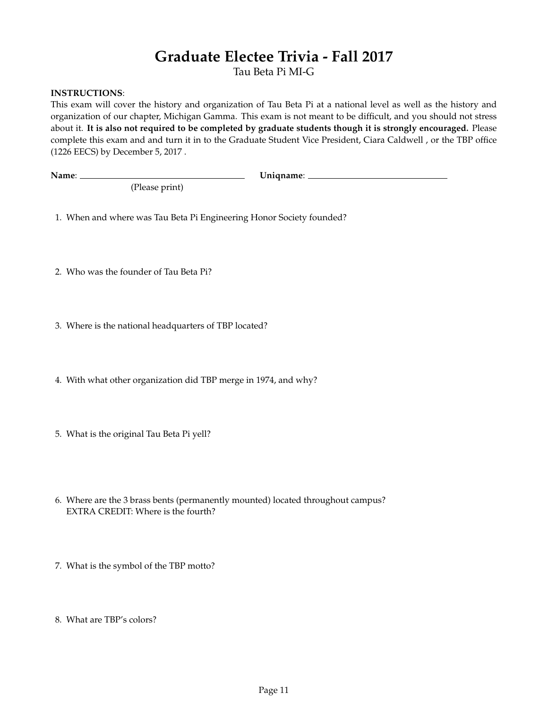# **Graduate Electee Trivia - Fall 2017**

Tau Beta Pi MI-G

### **INSTRUCTIONS**:

This exam will cover the history and organization of Tau Beta Pi at a national level as well as the history and organization of our chapter, Michigan Gamma. This exam is not meant to be difficult, and you should not stress about it. **It is also not required to be completed by graduate students though it is strongly encouraged.** Please complete this exam and and turn it in to the Graduate Student Vice President, Ciara Caldwell , or the TBP office (1226 EECS) by December 5, 2017 .

**Name**: **Uniqname**:

(Please print)

1. When and where was Tau Beta Pi Engineering Honor Society founded?

2. Who was the founder of Tau Beta Pi?

3. Where is the national headquarters of TBP located?

4. With what other organization did TBP merge in 1974, and why?

5. What is the original Tau Beta Pi yell?

6. Where are the 3 brass bents (permanently mounted) located throughout campus? EXTRA CREDIT: Where is the fourth?

7. What is the symbol of the TBP motto?

8. What are TBP's colors?